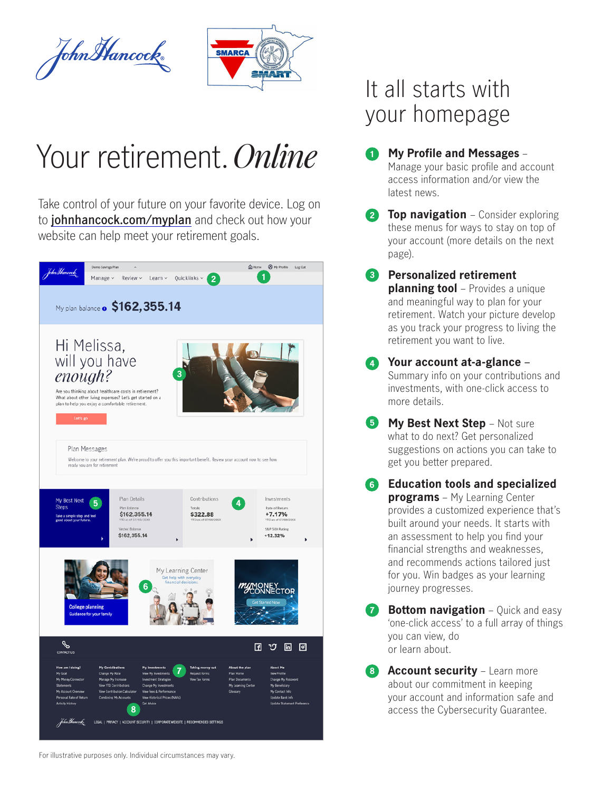



# Your retirement. *Online*

Take control of your future on your favorite device. Log on to **[johnhancock.com/myplan](https://www.johnhancock.com/myplan)** and check out how your website can help meet your retirement goals.



## It all starts with your homepage

**1**

**My Profile and Messages** – Manage your basic profile and account access information and/or view the latest news.

**2 Top navigation** – Consider exploring these menus for ways to stay on top of your account (more details on the next page).

**Personalized retirement 3 planning tool** – Provides a unique and meaningful way to plan for your retirement. Watch your picture develop as you track your progress to living the retirement you want to live.

**Your account at-a-glance** – **4** Summary info on your contributions and investments, with one-click access to more details.

- **5 My Best Next Step** Not sure what to do next? Get personalized suggestions on actions you can take to get you better prepared.
- **Education tools and specialized 6 programs** – My Learning Center provides a customized experience that's built around your needs. It starts with an assessment to help you find your financial strengths and weaknesses, and recommends actions tailored just for you. Win badges as your learning journey progresses.

**Bottom navigation** – Quick and easy 'one-click access' to a full array of things you can view, do or learn about. **7**

**8 Account security** – Learn more about our commitment in keeping your account and information safe and access the Cybersecurity Guarantee.

For illustrative purposes only. Individual circumstances may vary.